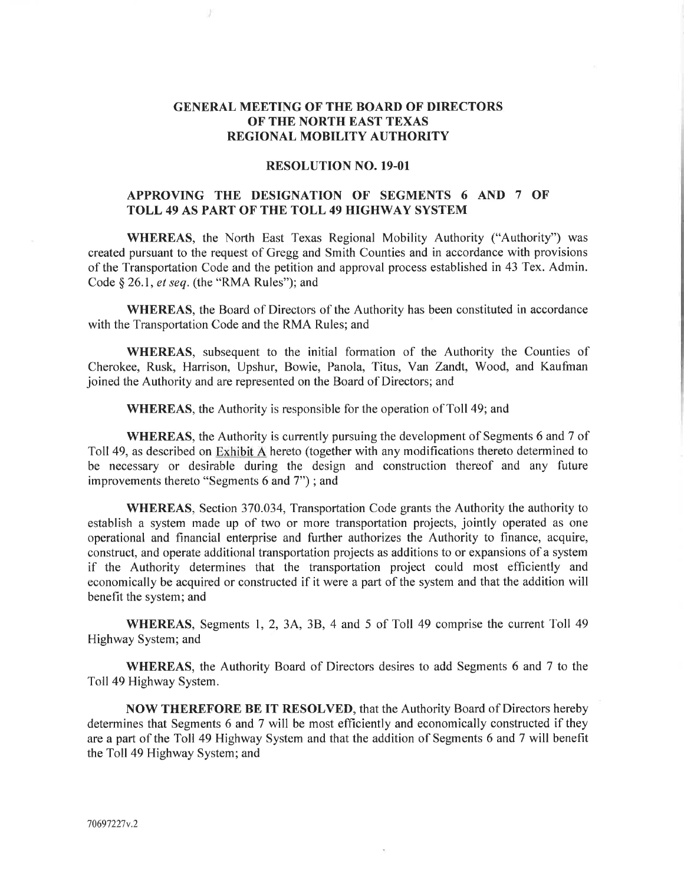## GENERAL MEETING OF'THE BOARD OF DIRECTORS OF THE NORTH EAST TEXAS REGIONAL MOBILITY AUTHORITY

## RESOLUTION NO. 19-01

## APPROVING THE DESIGNATION OF SEGMENTS 6 AND 7 OF TOLL 49 AS PART OF THE TOLL 49 HIGHWAY SYSTEM

WHEREAS, the North East Texas Regional Mobility Authority ("Authority") was created pursuant to the request of Gregg and Smith Counties and in accordance with provisions of the Transportation Code and the petition and approval process established in 43 Tex. Admin. Code  $\S$  26.1, et seq. (the "RMA Rules"); and

WHEREAS, the Board of Directors of the Authority has been constituted in accordance with the Transportation Code and the RMA Rules; and

WHEREAS, subsequent to the initial formation of the Authority the Counties of Cherokee, Rusk, Harrison, Upshur, Bowie, Panola, Titus, Van Zandt, Wood, and Kaufman joined the Authority and are represented on the Board of Directors; and

WHEREAS, the Authority is responsible for the operation of Toll 49; and

WHEREAS, the Authority is currently pursuing the development of Segments 6 and 7 of Toll 49, as described on Exhibit A hereto (together with any modifications thereto determined to be necessary or desirable during the design and construction thereof and any future improvements thereto "Segments 6 and 7") ; and

WHEREAS, Section 370.034, Transportation Code grants the Authority the authority to establish a system made up of two or more transportation projects, jointly operated as one operational and financial enterprise and further authorizes the Authority to finance, acquire, construct, and operate additional transportation projects as additions to or expansions of a system if the Authority determines that the transportation project could most efficiently and economically be acquired or constructed if it were a part of the system and that the addition will benefit the system; and

WHEREAS, Segments l, 2,34, 38, 4 and 5 of Toll 49 comprise the current Toll <sup>49</sup> Highway System; and

WHEREAS, the Authority Board of Directors desires to add Segments 6 and 7 to the Toll49 Highway System.

NOW THEREFORE BE IT RESOLVED, that the Authority Board of Directors hereby determines that Segments 6 and 7 will be most efficiently and economically constructed if they are a part of the Toll 49 Highway System and that the addition of Segments 6 and 7 will benefit the Toll49 Highway System; and